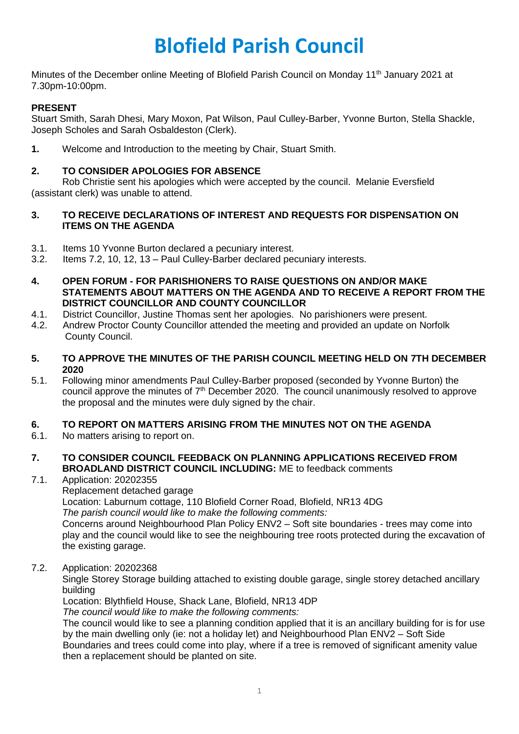# **Blofield Parish Council**

Minutes of the December online Meeting of Blofield Parish Council on Monday 11<sup>th</sup> January 2021 at 7.30pm-10:00pm.

# **PRESENT**

Stuart Smith, Sarah Dhesi, Mary Moxon, Pat Wilson, Paul Culley-Barber, Yvonne Burton, Stella Shackle, Joseph Scholes and Sarah Osbaldeston (Clerk).

**1.** Welcome and Introduction to the meeting by Chair, Stuart Smith.

# **2. TO CONSIDER APOLOGIES FOR ABSENCE**

Rob Christie sent his apologies which were accepted by the council. Melanie Eversfield (assistant clerk) was unable to attend.

#### **3. TO RECEIVE DECLARATIONS OF INTEREST AND REQUESTS FOR DISPENSATION ON ITEMS ON THE AGENDA**

- 3.1. Items 10 Yvonne Burton declared a pecuniary interest.
- 3.2. Items 7.2, 10, 12, 13 Paul Culley-Barber declared pecuniary interests.
- **4. OPEN FORUM - FOR PARISHIONERS TO RAISE QUESTIONS ON AND/OR MAKE STATEMENTS ABOUT MATTERS ON THE AGENDA AND TO RECEIVE A REPORT FROM THE DISTRICT COUNCILLOR AND COUNTY COUNCILLOR**
- 4.1. District Councillor, Justine Thomas sent her apologies. No parishioners were present.
- 4.2. Andrew Proctor County Councillor attended the meeting and provided an update on Norfolk County Council.

#### **5. TO APPROVE THE MINUTES OF THE PARISH COUNCIL MEETING HELD ON 7TH DECEMBER 2020**

5.1. Following minor amendments Paul Culley-Barber proposed (seconded by Yvonne Burton) the council approve the minutes of  $7<sup>th</sup>$  December 2020. The council unanimously resolved to approve the proposal and the minutes were duly signed by the chair.

# **6. TO REPORT ON MATTERS ARISING FROM THE MINUTES NOT ON THE AGENDA**

- 6.1. No matters arising to report on.
- **7. TO CONSIDER COUNCIL FEEDBACK ON PLANNING APPLICATIONS RECEIVED FROM BROADLAND DISTRICT COUNCIL INCLUDING:** ME to feedback comments
- 7.1. Application: 20202355

Replacement detached garage

Location: Laburnum cottage, 110 Blofield Corner Road, Blofield, NR13 4DG *The parish council would like to make the following comments:*

Concerns around Neighbourhood Plan Policy ENV2 – Soft site boundaries - trees may come into play and the council would like to see the neighbouring tree roots protected during the excavation of the existing garage.

7.2. Application: 20202368

Single Storey Storage building attached to existing double garage, single storey detached ancillary building

Location: Blythfield House, Shack Lane, Blofield, NR13 4DP

*The council would like to make the following comments:*

The council would like to see a planning condition applied that it is an ancillary building for is for use by the main dwelling only (ie: not a holiday let) and Neighbourhood Plan ENV2 – Soft Side Boundaries and trees could come into play, where if a tree is removed of significant amenity value then a replacement should be planted on site.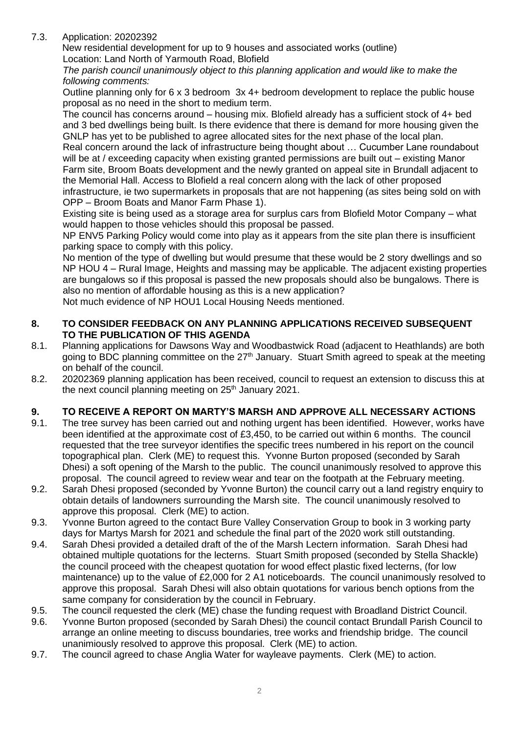# 7.3. Application: 20202392

New residential development for up to 9 houses and associated works (outline) Location: Land North of Yarmouth Road, Blofield

*The parish council unanimously object to this planning application and would like to make the following comments:*

Outline planning only for 6 x 3 bedroom 3x 4+ bedroom development to replace the public house proposal as no need in the short to medium term.

The council has concerns around – housing mix. Blofield already has a sufficient stock of 4+ bed and 3 bed dwellings being built. Is there evidence that there is demand for more housing given the GNLP has yet to be published to agree allocated sites for the next phase of the local plan.

Real concern around the lack of infrastructure being thought about … Cucumber Lane roundabout will be at / exceeding capacity when existing granted permissions are built out – existing Manor Farm site, Broom Boats development and the newly granted on appeal site in Brundall adjacent to

the Memorial Hall. Access to Blofield a real concern along with the lack of other proposed infrastructure, ie two supermarkets in proposals that are not happening (as sites being sold on with OPP – Broom Boats and Manor Farm Phase 1).

Existing site is being used as a storage area for surplus cars from Blofield Motor Company – what would happen to those vehicles should this proposal be passed.

NP ENV5 Parking Policy would come into play as it appears from the site plan there is insufficient parking space to comply with this policy.

No mention of the type of dwelling but would presume that these would be 2 story dwellings and so NP HOU 4 – Rural Image, Heights and massing may be applicable. The adjacent existing properties are bungalows so if this proposal is passed the new proposals should also be bungalows. There is also no mention of affordable housing as this is a new application?

Not much evidence of NP HOU1 Local Housing Needs mentioned.

#### **8. TO CONSIDER FEEDBACK ON ANY PLANNING APPLICATIONS RECEIVED SUBSEQUENT TO THE PUBLICATION OF THIS AGENDA**

- 8.1. Planning applications for Dawsons Way and Woodbastwick Road (adjacent to Heathlands) are both going to BDC planning committee on the 27<sup>th</sup> January. Stuart Smith agreed to speak at the meeting on behalf of the council.
- 8.2. 20202369 planning application has been received, council to request an extension to discuss this at the next council planning meeting on 25<sup>th</sup> January 2021.

# **9. TO RECEIVE A REPORT ON MARTY'S MARSH AND APPROVE ALL NECESSARY ACTIONS**

- 9.1. The tree survey has been carried out and nothing urgent has been identified. However, works have been identified at the approximate cost of £3,450, to be carried out within 6 months. The council requested that the tree surveyor identifies the specific trees numbered in his report on the council topographical plan. Clerk (ME) to request this. Yvonne Burton proposed (seconded by Sarah Dhesi) a soft opening of the Marsh to the public. The council unanimously resolved to approve this proposal. The council agreed to review wear and tear on the footpath at the February meeting.
- 9.2. Sarah Dhesi proposed (seconded by Yvonne Burton) the council carry out a land registry enquiry to obtain details of landowners surrounding the Marsh site. The council unanimously resolved to approve this proposal. Clerk (ME) to action.
- 9.3. Yvonne Burton agreed to the contact Bure Valley Conservation Group to book in 3 working party days for Martys Marsh for 2021 and schedule the final part of the 2020 work still outstanding.
- 9.4. Sarah Dhesi provided a detailed draft of the of the Marsh Lectern information. Sarah Dhesi had obtained multiple quotations for the lecterns. Stuart Smith proposed (seconded by Stella Shackle) the council proceed with the cheapest quotation for wood effect plastic fixed lecterns, (for low maintenance) up to the value of £2,000 for 2 A1 noticeboards. The council unanimously resolved to approve this proposal. Sarah Dhesi will also obtain quotations for various bench options from the same company for consideration by the council in February.
- 9.5. The council requested the clerk (ME) chase the funding request with Broadland District Council.
- 9.6. Yvonne Burton proposed (seconded by Sarah Dhesi) the council contact Brundall Parish Council to arrange an online meeting to discuss boundaries, tree works and friendship bridge. The council unanimiously resolved to approve this proposal. Clerk (ME) to action.
- 9.7. The council agreed to chase Anglia Water for wayleave payments. Clerk (ME) to action.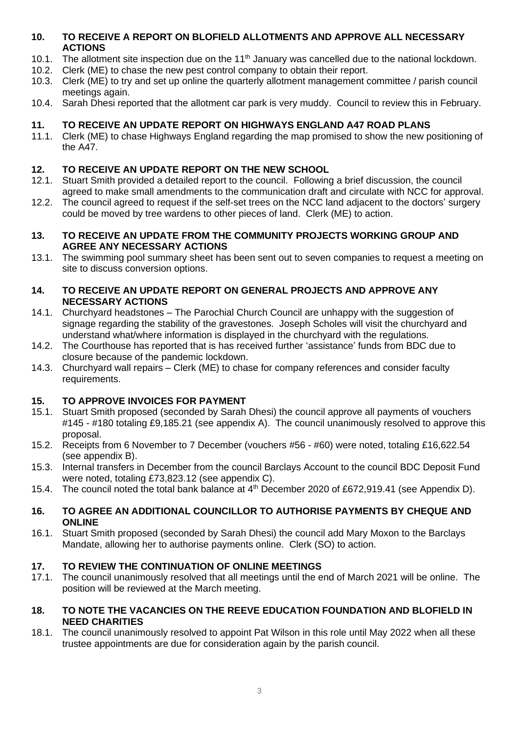## **10. TO RECEIVE A REPORT ON BLOFIELD ALLOTMENTS AND APPROVE ALL NECESSARY ACTIONS**

- 10.1. The allotment site inspection due on the 11<sup>th</sup> January was cancelled due to the national lockdown.
- 10.2. Clerk (ME) to chase the new pest control company to obtain their report.
- 10.3. Clerk (ME) to try and set up online the quarterly allotment management committee / parish council meetings again.
- 10.4. Sarah Dhesi reported that the allotment car park is very muddy. Council to review this in February.

# **11. TO RECEIVE AN UPDATE REPORT ON HIGHWAYS ENGLAND A47 ROAD PLANS**

11.1. Clerk (ME) to chase Highways England regarding the map promised to show the new positioning of the A47.

# **12. TO RECEIVE AN UPDATE REPORT ON THE NEW SCHOOL**

- 12.1. Stuart Smith provided a detailed report to the council. Following a brief discussion, the council agreed to make small amendments to the communication draft and circulate with NCC for approval.
- 12.2. The council agreed to request if the self-set trees on the NCC land adjacent to the doctors' surgery could be moved by tree wardens to other pieces of land. Clerk (ME) to action.

#### **13. TO RECEIVE AN UPDATE FROM THE COMMUNITY PROJECTS WORKING GROUP AND AGREE ANY NECESSARY ACTIONS**

13.1. The swimming pool summary sheet has been sent out to seven companies to request a meeting on site to discuss conversion options.

#### **14. TO RECEIVE AN UPDATE REPORT ON GENERAL PROJECTS AND APPROVE ANY NECESSARY ACTIONS**

- 14.1. Churchyard headstones The Parochial Church Council are unhappy with the suggestion of signage regarding the stability of the gravestones. Joseph Scholes will visit the churchyard and understand what/where information is displayed in the churchyard with the regulations.
- 14.2. The Courthouse has reported that is has received further 'assistance' funds from BDC due to closure because of the pandemic lockdown.
- 14.3. Churchyard wall repairs Clerk (ME) to chase for company references and consider faculty requirements.

# **15. TO APPROVE INVOICES FOR PAYMENT**

- 15.1. Stuart Smith proposed (seconded by Sarah Dhesi) the council approve all payments of vouchers #145 - #180 totaling £9,185.21 (see appendix A). The council unanimously resolved to approve this proposal.
- 15.2. Receipts from 6 November to 7 December (vouchers #56 #60) were noted, totaling £16,622.54 (see appendix B).
- 15.3. Internal transfers in December from the council Barclays Account to the council BDC Deposit Fund were noted, totaling £73,823.12 (see appendix C).
- 15.4. The council noted the total bank balance at 4<sup>th</sup> December 2020 of £672,919.41 (see Appendix D).

#### **16. TO AGREE AN ADDITIONAL COUNCILLOR TO AUTHORISE PAYMENTS BY CHEQUE AND ONLINE**

16.1. Stuart Smith proposed (seconded by Sarah Dhesi) the council add Mary Moxon to the Barclays Mandate, allowing her to authorise payments online. Clerk (SO) to action.

# **17. TO REVIEW THE CONTINUATION OF ONLINE MEETINGS**

17.1. The council unanimously resolved that all meetings until the end of March 2021 will be online. The position will be reviewed at the March meeting.

#### **18. TO NOTE THE VACANCIES ON THE REEVE EDUCATION FOUNDATION AND BLOFIELD IN NEED CHARITIES**

18.1. The council unanimously resolved to appoint Pat Wilson in this role until May 2022 when all these trustee appointments are due for consideration again by the parish council.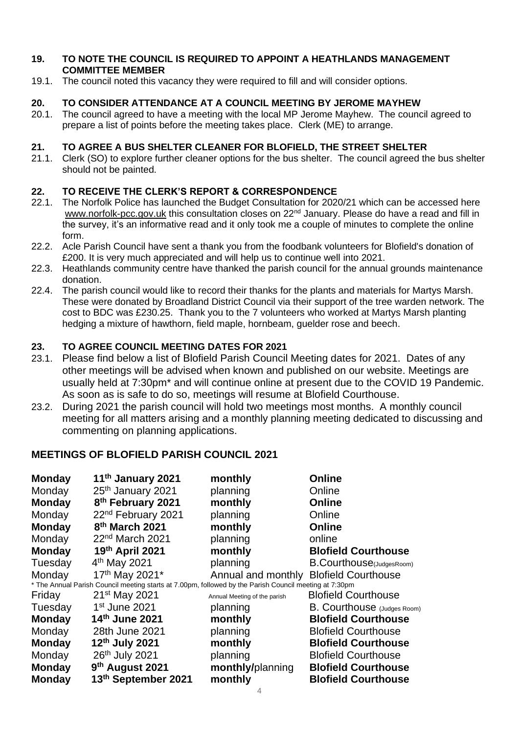#### **19. TO NOTE THE COUNCIL IS REQUIRED TO APPOINT A HEATHLANDS MANAGEMENT COMMITTEE MEMBER**

19.1. The council noted this vacancy they were required to fill and will consider options.

# **20. TO CONSIDER ATTENDANCE AT A COUNCIL MEETING BY JEROME MAYHEW**

20.1. The council agreed to have a meeting with the local MP Jerome Mayhew. The council agreed to prepare a list of points before the meeting takes place. Clerk (ME) to arrange.

# **21. TO AGREE A BUS SHELTER CLEANER FOR BLOFIELD, THE STREET SHELTER**

21.1. Clerk (SO) to explore further cleaner options for the bus shelter. The council agreed the bus shelter should not be painted.

# **22. TO RECEIVE THE CLERK'S REPORT & CORRESPONDENCE**

- 22.1. The Norfolk Police has launched the Budget Consultation for 2020/21 which can be accessed here [www.norfolk-pcc.gov.uk](https://gbr01.safelinks.protection.outlook.com/?url=https%3A%2F%2Fwww.norfolk-pcc.gov.uk%2Fkey-information%2Ffinance%2Fpolice-budget-202122-consultation%2F&data=04%7C01%7CVictoria.Bailey%40norfolk.police.uk%7C7e7c6a7b53bd40f457ca08d8b0b20066%7C63c6bc72b09342dbbf8a14e2a998e211%7C0%7C0%7C637453625838477110%7CUnknown%7CTWFpbGZsb3d8eyJWIjoiMC4wLjAwMDAiLCJQIjoiV2luMzIiLCJBTiI6Ik1haWwiLCJXVCI6Mn0%3D%7C1000&sdata=fKFP7%2F6W5upOB45dLhrL1PfJYQRUOQCd2OMRy70x6yw%3D&reserved=0) this consultation closes on 22<sup>nd</sup> January. Please do have a read and fill in the survey, it's an informative read and it only took me a couple of minutes to complete the online form.
- 22.2. Acle Parish Council have sent a thank you from the foodbank volunteers for Blofield's donation of £200. It is very much appreciated and will help us to continue well into 2021.
- 22.3. Heathlands community centre have thanked the parish council for the annual grounds maintenance donation.
- 22.4. The parish council would like to record their thanks for the plants and materials for Martys Marsh. These were donated by Broadland District Council via their support of the tree warden network. The cost to BDC was £230.25. Thank you to the 7 volunteers who worked at Martys Marsh planting hedging a mixture of hawthorn, field maple, hornbeam, guelder rose and beech.

# **23. TO AGREE COUNCIL MEETING DATES FOR 2021**

- 23.1. Please find below a list of Blofield Parish Council Meeting dates for 2021. Dates of any other meetings will be advised when known and published on our website. Meetings are usually held at 7:30pm\* and will continue online at present due to the COVID 19 Pandemic. As soon as is safe to do so, meetings will resume at Blofield Courthouse.
- 23.2. During 2021 the parish council will hold two meetings most months. A monthly council meeting for all matters arising and a monthly planning meeting dedicated to discussing and commenting on planning applications.

# **MEETINGS OF BLOFIELD PARISH COUNCIL 2021**

| 11 <sup>th</sup> January 2021                                                                                    | monthly                                       | <b>Online</b>                                                          |  |  |
|------------------------------------------------------------------------------------------------------------------|-----------------------------------------------|------------------------------------------------------------------------|--|--|
| 25 <sup>th</sup> January 2021                                                                                    | planning                                      | Online                                                                 |  |  |
| 8 <sup>th</sup> February 2021                                                                                    | monthly                                       | <b>Online</b>                                                          |  |  |
| 22 <sup>nd</sup> February 2021                                                                                   | planning                                      | Online                                                                 |  |  |
| 8 <sup>th</sup> March 2021                                                                                       | monthly                                       | <b>Online</b>                                                          |  |  |
| 22 <sup>nd</sup> March 2021                                                                                      | planning                                      | online                                                                 |  |  |
| 19th April 2021                                                                                                  | monthly                                       | <b>Blofield Courthouse</b>                                             |  |  |
| $4th$ May 2021                                                                                                   | planning                                      | B.Courthouse(JudgesRoom)                                               |  |  |
| 17 <sup>th</sup> May 2021*                                                                                       |                                               |                                                                        |  |  |
| Monday<br>* The Annual Parish Council meeting starts at 7.00pm, followed by the Parish Council meeting at 7:30pm |                                               |                                                                        |  |  |
| 21 <sup>st</sup> May 2021                                                                                        |                                               | <b>Blofield Courthouse</b>                                             |  |  |
| 1 <sup>st</sup> June 2021                                                                                        | planning                                      | <b>B. Courthouse</b> (Judges Room)                                     |  |  |
|                                                                                                                  | monthly                                       | <b>Blofield Courthouse</b>                                             |  |  |
| 28th June 2021                                                                                                   | planning                                      | <b>Blofield Courthouse</b>                                             |  |  |
| 12th July 2021                                                                                                   | monthly                                       | <b>Blofield Courthouse</b>                                             |  |  |
| 26th July 2021                                                                                                   | planning                                      | <b>Blofield Courthouse</b>                                             |  |  |
|                                                                                                                  | monthly/planning                              | <b>Blofield Courthouse</b>                                             |  |  |
| 13th September 2021                                                                                              | monthly                                       | <b>Blofield Courthouse</b>                                             |  |  |
|                                                                                                                  | 14th June 2021<br>9 <sup>th</sup> August 2021 | Annual and monthly Blofield Courthouse<br>Annual Meeting of the parish |  |  |